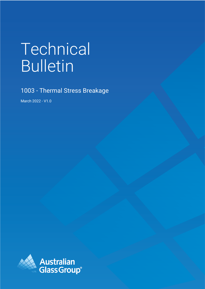# Technical Bulletin

1003 - Thermal Stress Breakage

March 2022 - V1.0

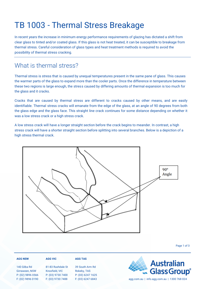# TB 1003 - Thermal Stress Breakage

In recent years the increase in minimum energy performance requirements of glazing has dictated a shift from clear glass to tinted and/or coated glass. If this glass is not heat treated, it can be susceptible to breakage from thermal stress. Careful consideration of glass types and heat treatment methods is required to avoid the possibility of thermal stress cracking.

## What is thermal stress?

Thermal stress is stress that is caused by unequal temperatures present in the same pane of glass. This causes the warmer parts of the glass to expand more than the cooler parts. Once the difference in temperature between these two regions is large enough, the stress caused by differing amounts of thermal expansion is too much for the glass and it cracks.

Cracks that are caused by thermal stress are different to cracks caused by other means, and are easily identifiable. Thermal stress cracks will emanate from the edge of the glass, at an angle of 90 degrees from both the glass edge and the glass face. This straight line crack continues for some distance depending on whether it was a low stress crack or a high stress crack.

A low stress crack will have a longer straight section before the crack begins to meander. In contrast, a high stress crack will have a shorter straight section before splitting into several branches. Below is a depiction of a high stress thermal crack.



Page 1 of 3

#### **AGG NSW**

140 Gilba Rd Girraween, NSW P: (02) 9896 0566 F: (02) 9896 0190

#### **AGG VIC**

81-83 Rushdale St Knoxfield, VIC P: (03) 9730 7400 F: (03) 9730 7488

### **AGG TAS** 39 South Arm Rd

Rokeby, TAS P: (03) 6247 1625

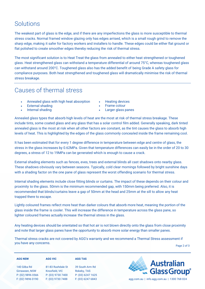## **Solutions**

The weakest part of glass is the edge, and if there are any imperfections the glass is more susceptible to thermal stress cracks. Normal framed window glazing only has edges arrised, which is a small rough grind to remove the sharp edge, making it safer for factory workers and installers to handle. These edges could be either flat ground or flat polished to create smoother edges thereby reducing the risk of thermal stress.

The most significant solution is to Heat Treat the glass from annealed to either heat strengthened or toughened glass. Heat strengthened glass can withstand a temperature differential of around 75°C, whereas toughened glass can withstand around 200°C. Toughened glass also has the added benefit of being Grade A safety glass for compliance purposes. Both heat strengthened and toughened glass will dramatically minimise the risk of thermal stress breakage.

## Causes of thermal stress

- Annealed glass with high heat absorption
- **External shading**
- Internal shading
- Heating devices
- Frame colour
- Larger glass panes

Annealed glass types that absorb high levels of heat are the most at risk of thermal stress breakage. These include tints, some coated glass and any glass that has a solar control film added. Generally speaking, dark tinted annealed glass is the most at risk when all other factors are constant, as the tint causes the glass to absorb high levels of heat. This is highlighted by the edges of the glass commonly concealed inside the frame remaining cool.

It has been estimated that for every 1 degree difference in temperature between edge and centre of glass, the stress in the glass increases by 0.62MPa. Given that temperature differences can easily be in the order of 20 to 30 degrees, a stress of 12 to 19MPa can be generated which is enough to cause a crack.

External shading elements such as fences, eves, trees and external blinds all cast shadows onto nearby glass. These shadows obviously vary between seasons. Typically, cold clear mornings followed by bright sunshine days with a shading factor on the one pane of glass represent the worst offending scenario for thermal stress.

Internal shading elements include close fitting blinds or curtains. The impact of these depends on their colour and proximity to the glass. 50mm is the minimum recommended gap, with 150mm being preferred. Also, it is recommended that blinds/curtains leave a gap of 50mm at the head and 25mm at the sill to allow any heat trapped there to escape.

Lightly coloured frames reflect more heat than darker colours that absorb more heat, meaning the portion of the glass inside the frame is cooler. This will increase the difference in temperature across the glass pane, so lighter coloured frames actually increase the thermal stress in the glass.

Any heating devices should be orientated so that hot air is not blown directly onto the glass from close proximity and note that larger glass panes have the opportunity to absorb more solar energy than smaller panes.

Thermal stress cracks are not covered by AGG's warranty and we recommend a Thermal Stress assessment if you have any concerns.

Page 2 of 3



P: (02) 9896 0566 F: (02) 9896 0190 Knoxfield, VIC P: (03) 9730 7400 F: (03) 9730 7488

39 South Arm Rd Rokeby, TAS P: (03) 6247 1625

**AGG TAS**



F: (03) 6247 6843 agg.com.au | info.agg.com.au | 1300 768 024